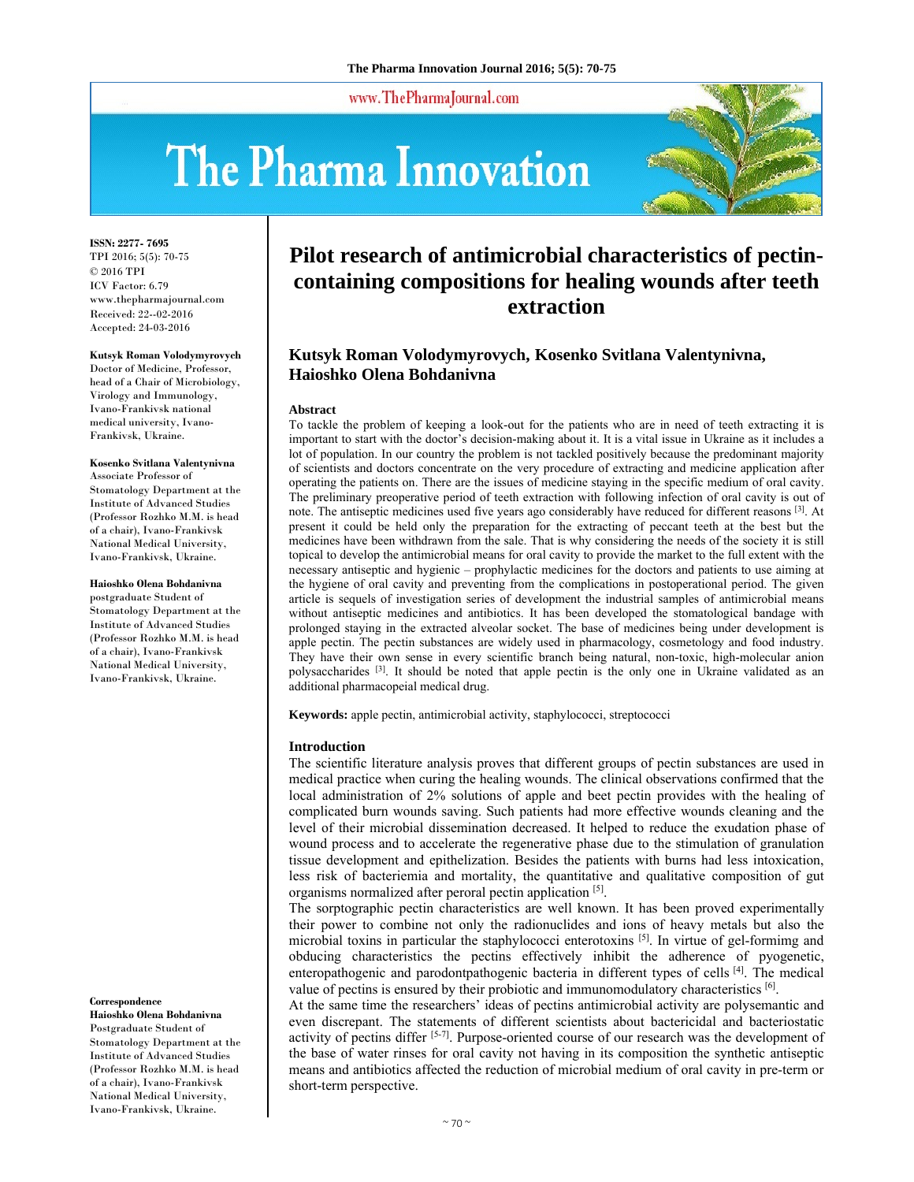www.ThePharmaJournal.com

# The Pharma Innovation



**ISSN: 2277- 7695** TPI 2016; 5(5): 70-75 © 2016 TPI ICV Factor: 6.79 www.thepharmajournal.com Received: 22--02-2016 Accepted: 24-03-2016

**Kutsyk Roman Volodymyrovych**  Doctor of Medicine, Professor, head of a Chair of Microbiology, Virology and Immunology, Ivano-Frankivsk national medical university, Ivano-Frankivsk, Ukraine.

**Kosenko Svitlana Valentynivna**  Associate Professor of Stomatology Department at the Institute of Advanced Studies (Professor Rozhko M.M. is head of a chair), Ivano-Frankivsk National Medical University, Ivano-Frankivsk, Ukraine.

**Haioshko Olena Bohdanivna** 

postgraduate Student of Stomatology Department at the Institute of Advanced Studies (Professor Rozhko M.M. is head of a chair), Ivano-Frankivsk National Medical University, Ivano-Frankivsk, Ukraine.

#### **Correspondence**

**Haioshko Olena Bohdanivna**  Postgraduate Student of Stomatology Department at the Institute of Advanced Studies (Professor Rozhko M.M. is head of a chair), Ivano-Frankivsk National Medical University, Ivano-Frankivsk, Ukraine.

# **Pilot research of antimicrobial characteristics of pectincontaining compositions for healing wounds after teeth extraction**

# **Kutsyk Roman Volodymyrovych, Kosenko Svitlana Valentynivna, Haioshko Olena Bohdanivna**

#### **Abstract**

To tackle the problem of keeping a look-out for the patients who are in need of teeth extracting it is important to start with the doctor's decision-making about it. It is a vital issue in Ukraine as it includes a lot of population. In our country the problem is not tackled positively because the predominant majority of scientists and doctors concentrate on the very procedure of extracting and medicine application after operating the patients on. There are the issues of medicine staying in the specific medium of oral cavity. The preliminary preoperative period of teeth extraction with following infection of oral cavity is out of note. The antiseptic medicines used five years ago considerably have reduced for different reasons <sup>[3]</sup>. At present it could be held only the preparation for the extracting of peccant teeth at the best but the medicines have been withdrawn from the sale. That is why considering the needs of the society it is still topical to develop the antimicrobial means for oral cavity to provide the market to the full extent with the necessary antiseptic and hygienic – prophylactic medicines for the doctors and patients to use aiming at the hygiene of oral cavity and preventing from the complications in postoperational period. The given article is sequels of investigation series of development the industrial samples of antimicrobial means without antiseptic medicines and antibiotics. It has been developed the stomatological bandage with prolonged staying in the extracted alveolar socket. The base of medicines being under development is apple pectin. The pectin substances are widely used in pharmacology, cosmetology and food industry. They have their own sense in every scientific branch being natural, non-toxic, high-molecular anion polysaccharides <sup>[3]</sup>. It should be noted that apple pectin is the only one in Ukraine validated as an additional pharmacopeial medical drug.

**Keywords:** apple pectin, antimicrobial activity, staphylococci, streptococci

#### **Introduction**

The scientific literature analysis proves that different groups of pectin substances are used in medical practice when curing the healing wounds. The clinical observations confirmed that the local administration of 2% solutions of apple and beet pectin provides with the healing of complicated burn wounds saving. Such patients had more effective wounds cleaning and the level of their microbial dissemination decreased. It helped to reduce the exudation phase of wound process and to accelerate the regenerative phase due to the stimulation of granulation tissue development and epithelization. Besides the patients with burns had less intoxication, less risk of bacteriemia and mortality, the quantitative and qualitative composition of gut organisms normalized after peroral pectin application [5].

The sorptographic pectin characteristics are well known. It has been proved experimentally their power to combine not only the radionuclides and ions of heavy metals but also the microbial toxins in particular the staphylococci enterotoxins [5]. In virtue of gel-formimg and obducing characteristics the pectins effectively inhibit the adherence of pyogenetic, enteropathogenic and parodontpathogenic bacteria in different types of cells  $[4]$ . The medical value of pectins is ensured by their probiotic and immunomodulatory characteristics [6].

At the same time the researchers' ideas of pectins antimicrobial activity are polysemantic and even discrepant. The statements of different scientists about bactericidal and bacteriostatic activity of pectins differ [5-7]. Purpose-oriented course of our research was the development of the base of water rinses for oral cavity not having in its composition the synthetic antiseptic means and antibiotics affected the reduction of microbial medium of oral cavity in pre-term or short-term perspective.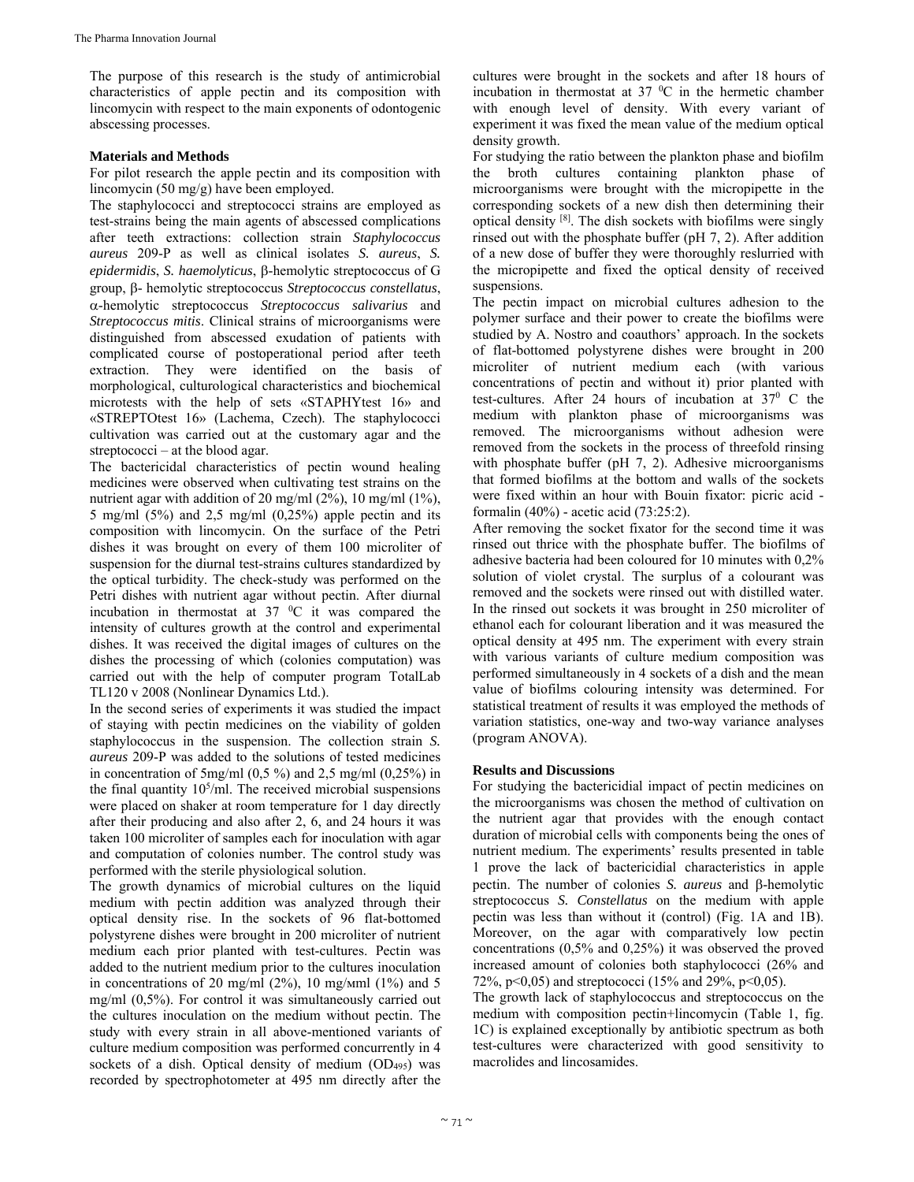The purpose of this research is the study of antimicrobial characteristics of apple pectin and its composition with lincomycin with respect to the main exponents of odontogenic abscessing processes.

#### **Materials and Methods**

For pilot research the apple pectin and its composition with lincomycin (50 mg/g) have been employed.

The staphylococci and streptococci strains are employed as test-strains being the main agents of abscessed complications after teeth extractions: collection strain *Staphylococcus aureus* 209-Р as well as clinical isolates *S. aureus*, *S. epidermidis*, *S. haemolyticus*, β-hemolytic streptococcus of G group,  $\beta$ - hemolytic streptococcus *Streptococcus constellatus*, -hemolytic streptococcus *Streptococcus salivarius* and *Streptococcus mitis*. Clinical strains of microorganisms were distinguished from abscessed exudation of patients with complicated course of postoperational period after teeth extraction. They were identified on the basis of morphological, culturological characteristics and biochemical microtests with the help of sets «STAPHYtest 16» and «STREPTOtest 16» (Lachema, Czech). The staphylococci cultivation was carried out at the customary agar and the streptococci – at the blood agar.

The bactericidal characteristics of pectin wound healing medicines were observed when cultivating test strains on the nutrient agar with addition of 20 mg/ml (2%), 10 mg/ml (1%), 5 mg/ml  $(5\%)$  and 2,5 mg/ml  $(0,25\%)$  apple pectin and its composition with lincomycin. On the surface of the Petri dishes it was brought on every of them 100 microliter of suspension for the diurnal test-strains cultures standardized by the optical turbidity. The check-study was performed on the Petri dishes with nutrient agar without pectin. After diurnal incubation in thermostat at  $37 \degree C$  it was compared the intensity of cultures growth at the control and experimental dishes. It was received the digital images of cultures on the dishes the processing of which (colonies computation) was carried out with the help of computer program TotalLab TL120 v 2008 (Nonlinear Dynamics Ltd.).

In the second series of experiments it was studied the impact of staying with pectin medicines on the viability of golden staphylococcus in the suspension. The collection strain *S. aureus* 209-Р was added to the solutions of tested medicines in concentration of 5mg/ml  $(0,5\%)$  and 2,5 mg/ml  $(0,25\%)$  in the final quantity  $10<sup>5</sup>/ml$ . The received microbial suspensions were placed on shaker at room temperature for 1 day directly after their producing and also after 2, 6, and 24 hours it was taken 100 microliter of samples each for inoculation with agar and computation of colonies number. The control study was performed with the sterile physiological solution.

The growth dynamics of microbial cultures on the liquid medium with pectin addition was analyzed through their optical density rise. In the sockets of 96 flat-bottomed polystyrene dishes were brought in 200 microliter of nutrient medium each prior planted with test-cultures. Pectin was added to the nutrient medium prior to the cultures inoculation in concentrations of 20 mg/ml (2%), 10 mg/мml (1%) and 5 mg/ml (0,5%). For control it was simultaneously carried out the cultures inoculation on the medium without pectin. The study with every strain in all above-mentioned variants of culture medium composition was performed concurrently in 4 sockets of a dish. Optical density of medium (OD<sub>495</sub>) was recorded by spectrophotometer at 495 nm directly after the

cultures were brought in the sockets and after 18 hours of incubation in thermostat at  $37\text{ °C}$  in the hermetic chamber with enough level of density. With every variant of experiment it was fixed the mean value of the medium optical density growth.

For studying the ratio between the plankton phase and biofilm the broth cultures containing plankton phase of microorganisms were brought with the micropipette in the corresponding sockets of a new dish then determining their optical density [8]. The dish sockets with biofilms were singly rinsed out with the phosphate buffer (рН 7, 2). After addition of a new dose of buffer they were thoroughly reslurried with the micropipette and fixed the optical density of received suspensions.

The pectin impact on microbial cultures adhesion to the polymer surface and their power to create the biofilms were studied by A. Nostro and coauthors' approach. In the sockets of flat-bottomed polystyrene dishes were brought in 200 microliter of nutrient medium each (with various concentrations of pectin and without it) prior planted with test-cultures. After 24 hours of incubation at  $37^{\circ}$  C the medium with plankton phase of microorganisms was removed. The microorganisms without adhesion were removed from the sockets in the process of threefold rinsing with phosphate buffer (pH 7, 2). Adhesive microorganisms that formed biofilms at the bottom and walls of the sockets were fixed within an hour with Bouin fixator: picric acid formalin (40%) - acetic acid (73:25:2).

After removing the socket fixator for the second time it was rinsed out thrice with the phosphate buffer. The biofilms of adhesive bacteria had been coloured for 10 minutes with 0,2% solution of violet crystal. The surplus of a colourant was removed and the sockets were rinsed out with distilled water. In the rinsed out sockets it was brought in 250 microliter of ethanol each for colourant liberation and it was measured the optical density at 495 nm. The experiment with every strain with various variants of culture medium composition was performed simultaneously in 4 sockets of a dish and the mean value of biofilms colouring intensity was determined. For statistical treatment of results it was employed the methods of variation statistics, one-way and two-way variance analyses (program ANOVA).

### **Results and Discussions**

For studying the bactericidial impact of pectin medicines on the microorganisms was chosen the method of cultivation on the nutrient agar that provides with the enough contact duration of microbial cells with components being the ones of nutrient medium. The experiments' results presented in table 1 prove the lack of bactericidial characteristics in apple pectin. The number of colonies *S. aureus* and  $\beta$ -hemolytic streptococcus *S. Constellatus* on the medium with apple pectin was less than without it (control) (Fig. 1A and 1В). Moreover, on the agar with comparatively low pectin concentrations (0,5% and 0,25%) it was observed the proved increased amount of colonies both staphylococci (26% and 72%, p<0,05) and streptococci (15% and 29%, p<0,05).

The growth lack of staphylococcus and streptococcus on the medium with composition pectin+lincomycin (Table 1, fig. 1C) is explained exceptionally by antibiotic spectrum as both test-cultures were characterized with good sensitivity to macrolides and lincosamides.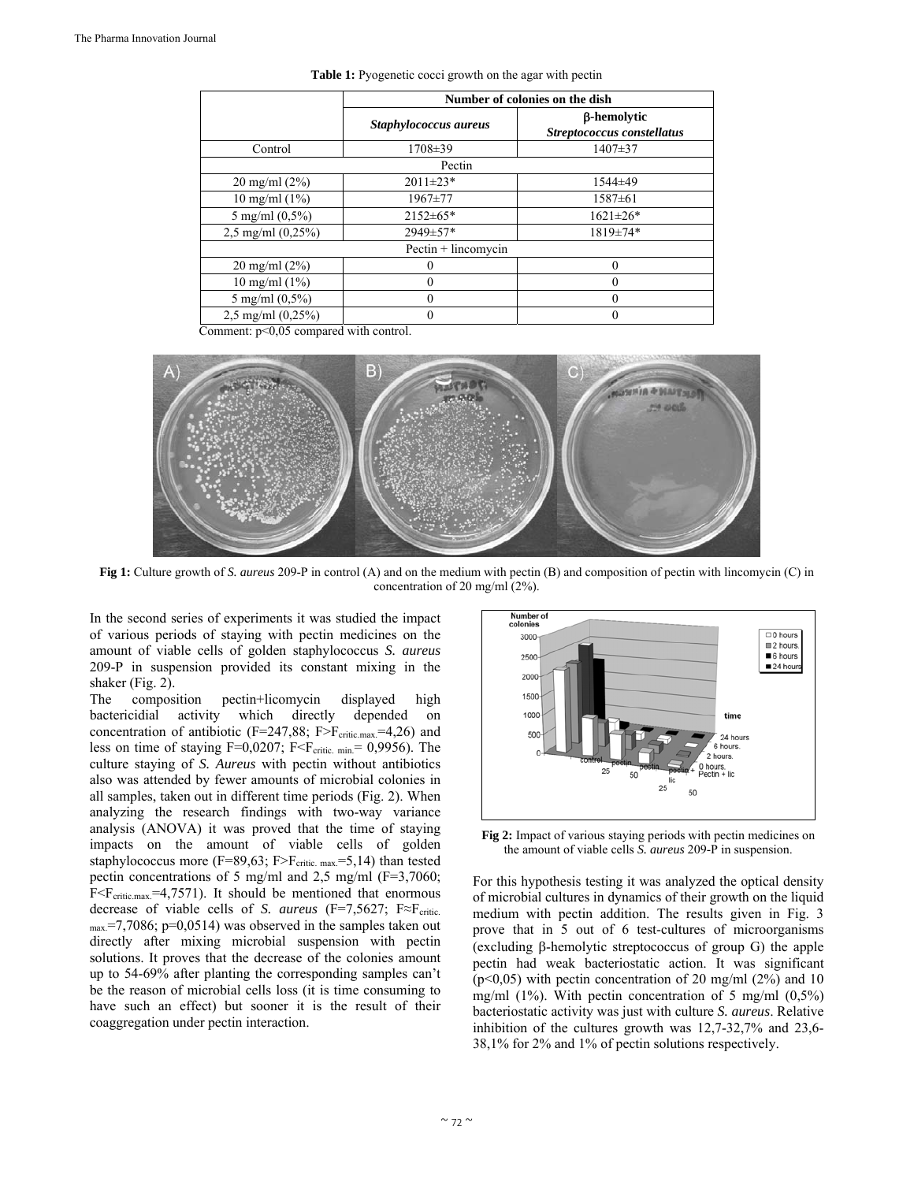|                          | Number of colonies on the dish |                                           |
|--------------------------|--------------------------------|-------------------------------------------|
|                          | Staphylococcus aureus          | β-hemolytic<br>Streptococcus constellatus |
| Control                  | $1708 \pm 39$                  | $1407 \pm 37$                             |
|                          | Pectin                         |                                           |
| $20 \text{ mg/ml} (2\%)$ | $2011 \pm 23*$                 | 1544±49                                   |
| 10 mg/ml $(1\%)$         | 1967±77                        | $1587 \pm 61$                             |
| 5 mg/ml $(0,5\%)$        | $2152 \pm 65*$                 | $1621 \pm 26*$                            |
| $2,5$ mg/ml $(0,25\%)$   | 2949±57*                       | 1819±74*                                  |
|                          | Pectin + lincomycin            |                                           |
| $20 \text{ mg/ml} (2\%)$ |                                | 0                                         |
| 10 mg/ml $(1\%)$         |                                | 0                                         |
| 5 mg/ml $(0,5\%)$        | 0                              | $\theta$                                  |
| $2.5$ mg/ml $(0.25\%)$   | 0                              | $\theta$                                  |

**Table 1:** Pyogenetic cocci growth on the agar with pectin

Comment:  $p<0.05$  compared with control.



**Fig 1:** Culture growth of *S. aureus* 209-Р in control (A) and on the medium with pectin (B) and composition of pectin with lincomycin (C) in concentration of 20 mg/ml (2%).

In the second series of experiments it was studied the impact of various periods of staying with pectin medicines on the amount of viable cells of golden staphylococcus *S. aureus* 209-Р in suspension provided its constant mixing in the shaker (Fig. 2).

The composition pectin+licomycin displayed high bactericidial activity which directly depended on concentration of antibiotic (F=247,88; F>F<sub>critic.max</sub>=4,26) and less on time of staying  $F=0,0207$ ;  $F\leq F_{critic. min} = 0,9956$ ). The culture staying of *S. Aureus* with pectin without antibiotics also was attended by fewer amounts of microbial colonies in all samples, taken out in different time periods (Fig. 2). When analyzing the research findings with two-way variance analysis (ANOVA) it was proved that the time of staying impacts on the amount of viable cells of golden staphylococcus more (F=89,63; F>F<sub>critic. max</sub>=5,14) than tested pectin concentrations of 5 mg/ml and 2,5 mg/ml (F=3,7060;  $F < F<sub>critic.max</sub> = 4,7571$ . It should be mentioned that enormous decrease of viable cells of *S. aureus* (F=7,5627; F≈F<sub>critic</sub>.  $_{\text{max}}$ =7,7086; p=0,0514) was observed in the samples taken out directly after mixing microbial suspension with pectin solutions. It proves that the decrease of the colonies amount up to 54-69% after planting the corresponding samples can't be the reason of microbial cells loss (it is time consuming to have such an effect) but sooner it is the result of their coaggregation under pectin interaction.



**Fig 2:** Impact of various staying periods with pectin medicines on the amount of viable cells *S. aureus* 209-Р in suspension.

For this hypothesis testing it was analyzed the optical density of microbial cultures in dynamics of their growth on the liquid medium with pectin addition. The results given in Fig. 3 prove that in 5 out of 6 test-cultures of microorganisms (excluding  $\beta$ -hemolytic streptococcus of group G) the apple pectin had weak bacteriostatic action. It was significant  $(p<0.05)$  with pectin concentration of 20 mg/ml (2%) and 10 mg/ml  $(1\%)$ . With pectin concentration of 5 mg/ml  $(0,5\%)$ bacteriostatic activity was just with culture *S. aureus*. Relative inhibition of the cultures growth was 12,7-32,7% and 23,6- 38,1% for 2% and 1% of pectin solutions respectively.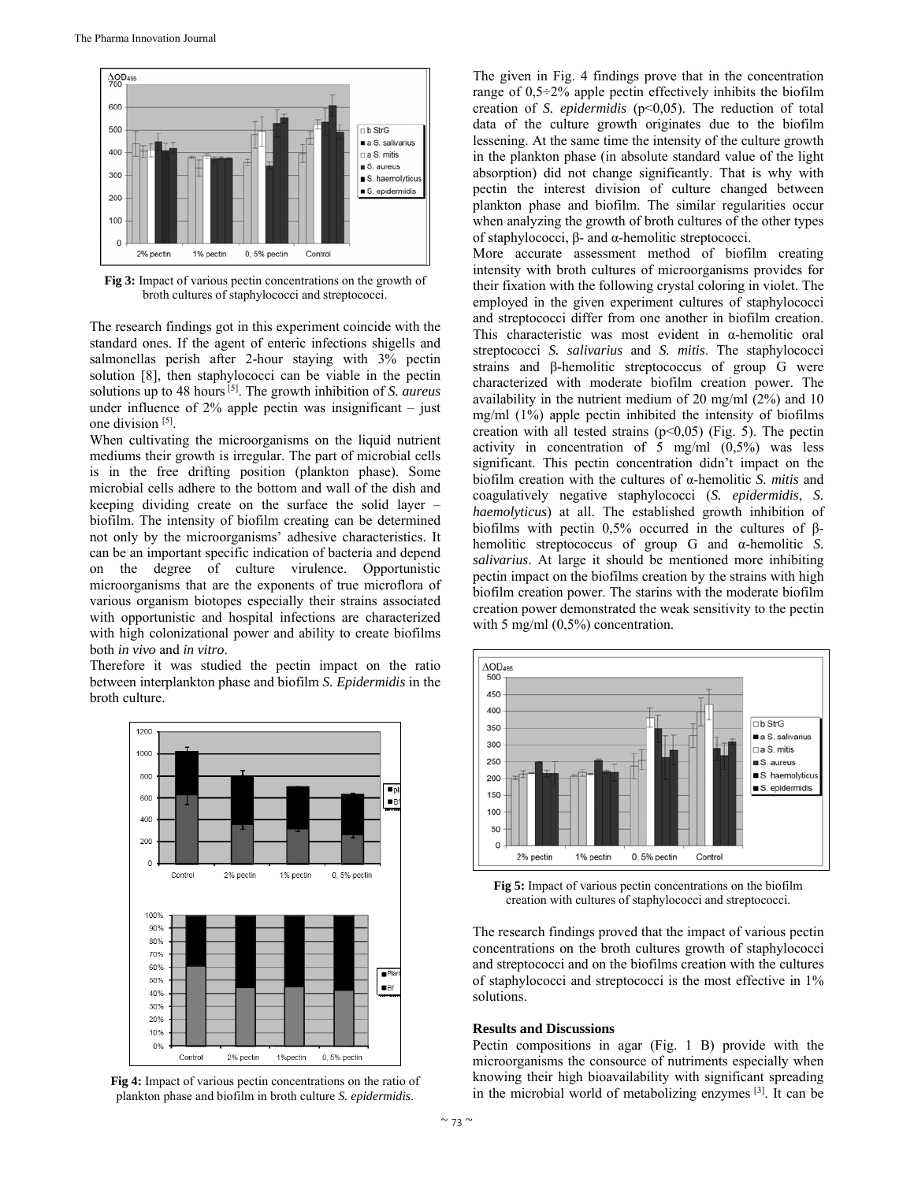

**Fig 3:** Impact of various pectin concentrations on the growth of broth cultures of staphylococci and streptococci.

The research findings got in this experiment coincide with the standard ones. If the agent of enteric infections shigells and salmonellas perish after 2-hour staying with 3% pectin solution [8], then staphylococci can be viable in the pectin solutions up to 48 hours [5]. The growth inhibition of *S. aureus* under influence of  $2\%$  apple pectin was insignificant – just one division [5].

When cultivating the microorganisms on the liquid nutrient mediums their growth is irregular. The part of microbial cells is in the free drifting position (plankton phase). Some microbial cells adhere to the bottom and wall of the dish and keeping dividing create on the surface the solid layer – biofilm. The intensity of biofilm creating can be determined not only by the microorganisms' adhesive characteristics. It can be an important specific indication of bacteria and depend on the degree of culture virulence. Opportunistic microorganisms that are the exponents of true microflora of various organism biotopes especially their strains associated with opportunistic and hospital infections are characterized with high colonizational power and ability to create biofilms both *in vivo* and *in vitro*.

Therefore it was studied the pectin impact on the ratio between interplankton phase and biofilm *S. Epidermidis* in the broth culture.



**Fig 4:** Impact of various pectin concentrations on the ratio of plankton phase and biofilm in broth culture *S. epidermidis*.

The given in Fig. 4 findings prove that in the concentration range of 0,5÷2% apple pectin effectively inhibits the biofilm creation of *S. epidermidis* (p<0,05). The reduction of total data of the culture growth originates due to the biofilm lessening. At the same time the intensity of the culture growth in the plankton phase (in absolute standard value of the light absorption) did not change significantly. That is why with pectin the interest division of culture changed between plankton phase and biofilm. The similar regularities occur when analyzing the growth of broth cultures of the other types of staphylococci, β- and α-hemolitic streptococci.

More accurate assessment method of biofilm creating intensity with broth cultures of microorganisms provides for their fixation with the following crystal coloring in violet. The employed in the given experiment cultures of staphylococci and streptococci differ from one another in biofilm creation. This characteristic was most evident in α-hemolitic oral streptococci *S. salivarius* and *S. mitis*. The staphylococci strains and β-hemolitic streptococcus of group G were characterized with moderate biofilm creation power. The availability in the nutrient medium of 20 mg/ml (2%) and 10 mg/ml (1%) apple pectin inhibited the intensity of biofilms creation with all tested strains  $(p<0.05)$  (Fig. 5). The pectin activity in concentration of  $\bar{5}$  mg/ml (0,5%) was less significant. This pectin concentration didn't impact on the biofilm creation with the cultures of α-hemolitic *S. mitis* and coagulatively negative staphylococci (*S. epidermidis*, *S. haemolyticus*) at all. The established growth inhibition of biofilms with pectin 0,5% occurred in the cultures of βhemolitic streptococcus of group G and α-hemolitic *S. salivarius*. At large it should be mentioned more inhibiting pectin impact on the biofilms creation by the strains with high biofilm creation power. The starins with the moderate biofilm creation power demonstrated the weak sensitivity to the pectin with 5 mg/ml  $(0,5\%)$  concentration.



**Fig 5:** Impact of various pectin concentrations on the biofilm creation with cultures of staphylococci and streptococci.

The research findings proved that the impact of various pectin concentrations on the broth cultures growth of staphylococci and streptococci and on the biofilms creation with the cultures of staphylococci and streptococci is the most effective in 1% solutions.

#### **Results and Discussions**

Pectin compositions in agar (Fig. 1 B) provide with the microorganisms the consource of nutriments especially when knowing their high bioavailability with significant spreading in the microbial world of metabolizing enzymes [3]. It can be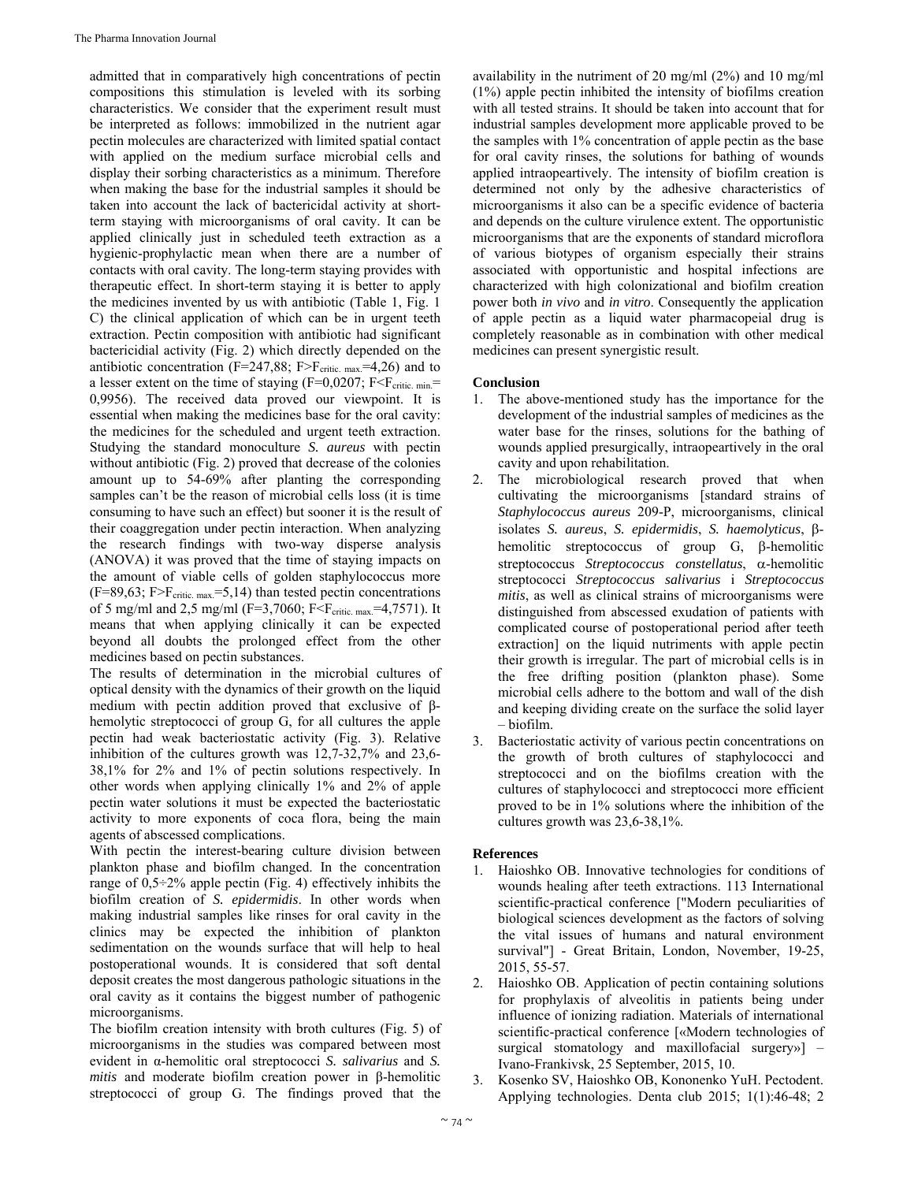admitted that in comparatively high concentrations of pectin compositions this stimulation is leveled with its sorbing characteristics. We consider that the experiment result must be interpreted as follows: immobilized in the nutrient agar pectin molecules are characterized with limited spatial contact with applied on the medium surface microbial cells and display their sorbing characteristics as a minimum. Therefore when making the base for the industrial samples it should be taken into account the lack of bactericidal activity at shortterm staying with microorganisms of oral cavity. It can be applied clinically just in scheduled teeth extraction as a hygienic-prophylactic mean when there are a number of contacts with oral cavity. The long-term staying provides with therapeutic effect. In short-term staying it is better to apply the medicines invented by us with antibiotic (Table 1, Fig. 1 C) the clinical application of which can be in urgent teeth extraction. Pectin composition with antibiotic had significant bactericidial activity (Fig. 2) which directly depended on the antibiotic concentration (F=247,88; F>F<sub>critic. max</sub> $=4,26$ ) and to a lesser extent on the time of staying (F=0,0207; F $\leq$ F<sub>critic. min</sub>= 0,9956). The received data proved our viewpoint. It is essential when making the medicines base for the oral cavity: the medicines for the scheduled and urgent teeth extraction. Studying the standard monoculture *S. aureus* with pectin without antibiotic (Fig. 2) proved that decrease of the colonies amount up to 54-69% after planting the corresponding samples can't be the reason of microbial cells loss (it is time consuming to have such an effect) but sooner it is the result of their coaggregation under pectin interaction. When analyzing the research findings with two-way disperse analysis (ANOVA) it was proved that the time of staying impacts on the amount of viable cells of golden staphylococcus more  $(F=89,63; F>F_{critic. max}=5,14)$  than tested pectin concentrations of 5 mg/ml and 2,5 mg/ml (F=3,7060; F<F<sub>critic. max</sub>=4,7571). It means that when applying clinically it can be expected beyond all doubts the prolonged effect from the other medicines based on pectin substances.

The results of determination in the microbial cultures of optical density with the dynamics of their growth on the liquid medium with pectin addition proved that exclusive of βhemolytic streptococci of group G, for all cultures the apple pectin had weak bacteriostatic activity (Fig. 3). Relative inhibition of the cultures growth was 12,7-32,7% and 23,6- 38,1% for 2% and 1% of pectin solutions respectively. In other words when applying clinically 1% and 2% of apple pectin water solutions it must be expected the bacteriostatic activity to more exponents of coca flora, being the main agents of abscessed complications.

With pectin the interest-bearing culture division between plankton phase and biofilm changed. In the concentration range of  $0,5\div 2\%$  apple pectin (Fig. 4) effectively inhibits the biofilm creation of *S. epidermidis*. In other words when making industrial samples like rinses for oral cavity in the clinics may be expected the inhibition of plankton sedimentation on the wounds surface that will help to heal postoperational wounds. It is considered that soft dental deposit creates the most dangerous pathologic situations in the oral cavity as it contains the biggest number of pathogenic microorganisms.

The biofilm creation intensity with broth cultures (Fig. 5) of microorganisms in the studies was compared between most evident in α-hemolitic oral streptococci *S. salivarius* and *S. mitis* and moderate biofilm creation power in β-hemolitic streptococci of group G. The findings proved that the

availability in the nutriment of 20 mg/ml (2%) and 10 mg/ml (1%) apple pectin inhibited the intensity of biofilms creation with all tested strains. It should be taken into account that for industrial samples development more applicable proved to be the samples with 1% concentration of apple pectin as the base for oral cavity rinses, the solutions for bathing of wounds applied intraopeartively. The intensity of biofilm creation is determined not only by the adhesive characteristics of microorganisms it also can be a specific evidence of bacteria and depends on the culture virulence extent. The opportunistic microorganisms that are the exponents of standard microflora of various biotypes of organism especially their strains associated with opportunistic and hospital infections are characterized with high colonizational and biofilm creation power both *in vivo* and *in vitro*. Consequently the application of apple pectin as a liquid water pharmacopeial drug is completely reasonable as in combination with other medical medicines can present synergistic result.

## **Conclusion**

- 1. The above-mentioned study has the importance for the development of the industrial samples of medicines as the water base for the rinses, solutions for the bathing of wounds applied presurgically, intraopeartively in the oral cavity and upon rehabilitation.
- 2. The microbiological research proved that when cultivating the microorganisms [standard strains of *Staphylococcus aureus* 209-Р, microorganisms, clinical isolates *S. aureus*, *S. epidermidis*, *S. haemolyticus*, βhemolitic streptococcus of group  $G$ ,  $\beta$ -hemolitic streptococcus *Streptococcus constellatus*, α-hemolitic streptococci *Streptococcus salivarius* і *Streptococcus mitis*, as well as clinical strains of microorganisms were distinguished from abscessed exudation of patients with complicated course of postoperational period after teeth extraction] on the liquid nutriments with apple pectin their growth is irregular. The part of microbial cells is in the free drifting position (plankton phase). Some microbial cells adhere to the bottom and wall of the dish and keeping dividing create on the surface the solid layer – biofilm.
- 3. Bacteriostatic activity of various pectin concentrations on the growth of broth cultures of staphylococci and streptococci and on the biofilms creation with the cultures of staphylococci and streptococci more efficient proved to be in 1% solutions where the inhibition of the cultures growth was 23,6-38,1%.

### **References**

- Haioshko OB. Innovative technologies for conditions of wounds healing after teeth extractions. 113 International scientific-practical conference ["Modern peculiarities of biological sciences development as the factors of solving the vital issues of humans and natural environment survival"] - Great Britain, London, November, 19-25, 2015, 55-57.
- 2. Haioshko OB. Application of pectin containing solutions for prophylaxis of alveolitis in patients being under influence of ionizing radiation. Materials of international scientific-practical conference [«Modern technologies of surgical stomatology and maxillofacial surgery»] – Ivano-Frankivsk, 25 September, 2015, 10.
- 3. Kosenko SV, Haioshko OB, Kononenko YuH. Pectodent. Applying technologies. Denta club 2015; 1(1):46-48; 2